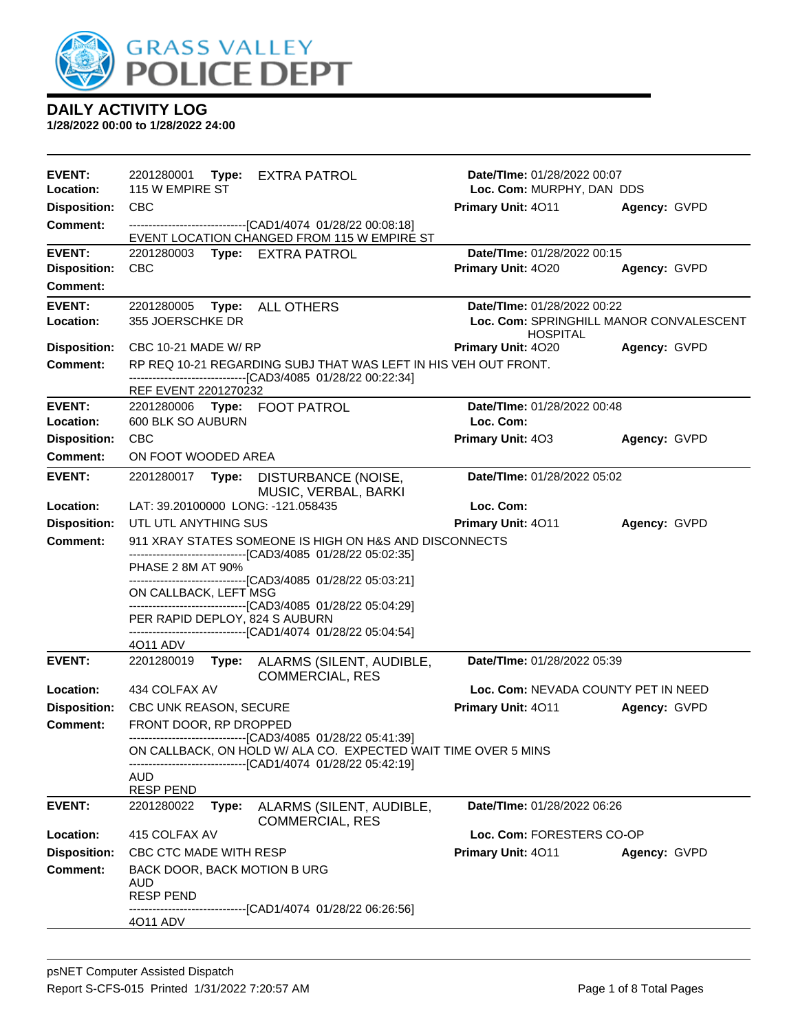

| EVENT:<br>Location: | 2201280001 <b>Type:</b><br><b>EXTRA PATROL</b><br>115 W EMPIRE ST                                                             | Date/TIme: 01/28/2022 00:07<br>Loc. Com: MURPHY, DAN DDS |                                         |  |  |  |  |
|---------------------|-------------------------------------------------------------------------------------------------------------------------------|----------------------------------------------------------|-----------------------------------------|--|--|--|--|
| <b>Disposition:</b> | <b>CBC</b>                                                                                                                    | Primary Unit: 4011                                       | Agency: GVPD                            |  |  |  |  |
| <b>Comment:</b>     | -------------------------------[CAD1/4074 01/28/22 00:08:18]                                                                  |                                                          |                                         |  |  |  |  |
|                     | EVENT LOCATION CHANGED FROM 115 W EMPIRE ST                                                                                   |                                                          |                                         |  |  |  |  |
| <b>EVENT:</b>       | 2201280003<br>Type: EXTRA PATROL                                                                                              | Date/TIme: 01/28/2022 00:15                              |                                         |  |  |  |  |
| <b>Disposition:</b> | <b>CBC</b>                                                                                                                    | Primary Unit: 4020                                       | Agency: GVPD                            |  |  |  |  |
| <b>Comment:</b>     |                                                                                                                               |                                                          |                                         |  |  |  |  |
| <b>EVENT:</b>       | Type: ALL OTHERS<br>2201280005                                                                                                | Date/TIme: 01/28/2022 00:22                              |                                         |  |  |  |  |
| Location:           | 355 JOERSCHKE DR                                                                                                              |                                                          | Loc. Com: SPRINGHILL MANOR CONVALESCENT |  |  |  |  |
| <b>Disposition:</b> | CBC 10-21 MADE W/ RP                                                                                                          | <b>HOSPITAL</b><br>Primary Unit: 4020                    | Agency: GVPD                            |  |  |  |  |
| <b>Comment:</b>     | RP REQ 10-21 REGARDING SUBJ THAT WAS LEFT IN HIS VEH OUT FRONT.                                                               |                                                          |                                         |  |  |  |  |
|                     | ------------------------------[CAD3/4085 01/28/22 00:22:34]                                                                   |                                                          |                                         |  |  |  |  |
| <b>EVENT:</b>       | REF EVENT 2201270232<br>2201280006 Type: FOOT PATROL                                                                          | Date/TIme: 01/28/2022 00:48                              |                                         |  |  |  |  |
| Location:           | 600 BLK SO AUBURN                                                                                                             | Loc. Com:                                                |                                         |  |  |  |  |
| <b>Disposition:</b> | CBC                                                                                                                           | Primary Unit: 403                                        | Agency: GVPD                            |  |  |  |  |
| <b>Comment:</b>     | ON FOOT WOODED AREA                                                                                                           |                                                          |                                         |  |  |  |  |
| <b>EVENT:</b>       | 2201280017<br>Type:<br>DISTURBANCE (NOISE,                                                                                    | Date/TIme: 01/28/2022 05:02                              |                                         |  |  |  |  |
|                     | MUSIC, VERBAL, BARKI                                                                                                          |                                                          |                                         |  |  |  |  |
| Location:           | LAT: 39.20100000 LONG: -121.058435                                                                                            | Loc. Com:                                                |                                         |  |  |  |  |
| <b>Disposition:</b> | UTL UTL ANYTHING SUS                                                                                                          | Primary Unit: 4011                                       | Agency: GVPD                            |  |  |  |  |
| <b>Comment:</b>     | 911 XRAY STATES SOMEONE IS HIGH ON H&S AND DISCONNECTS<br>-------------------------------[CAD3/4085 01/28/22 05:02:35]        |                                                          |                                         |  |  |  |  |
|                     | PHASE 2 8M AT 90%                                                                                                             |                                                          |                                         |  |  |  |  |
|                     | -------------------------------[CAD3/4085 01/28/22 05:03:21]                                                                  |                                                          |                                         |  |  |  |  |
|                     | ON CALLBACK, LEFT MSG<br>-------------------------------[CAD3/4085 01/28/22 05:04:29]                                         |                                                          |                                         |  |  |  |  |
|                     | PER RAPID DEPLOY, 824 S AUBURN                                                                                                |                                                          |                                         |  |  |  |  |
|                     | -------------------------------[CAD1/4074 01/28/22 05:04:54]<br>4011 ADV                                                      |                                                          |                                         |  |  |  |  |
| <b>EVENT:</b>       | 2201280019<br>ALARMS (SILENT, AUDIBLE,<br>Type:                                                                               | Date/TIme: 01/28/2022 05:39                              |                                         |  |  |  |  |
|                     | <b>COMMERCIAL, RES</b>                                                                                                        |                                                          |                                         |  |  |  |  |
| Location:           | 434 COLFAX AV                                                                                                                 | Loc. Com: NEVADA COUNTY PET IN NEED                      |                                         |  |  |  |  |
| <b>Disposition:</b> | CBC UNK REASON, SECURE                                                                                                        | Primary Unit: 4011                                       | Agency: GVPD                            |  |  |  |  |
| <b>Comment:</b>     | FRONT DOOR, RP DROPPED                                                                                                        |                                                          |                                         |  |  |  |  |
|                     | ------------------------------[CAD3/4085 01/28/22 05:41:39]<br>ON CALLBACK, ON HOLD W/ ALA CO. EXPECTED WAIT TIME OVER 5 MINS |                                                          |                                         |  |  |  |  |
|                     | ------------------------[CAD1/4074 01/28/22 05:42:19]                                                                         |                                                          |                                         |  |  |  |  |
|                     | <b>AUD</b><br><b>RESP PEND</b>                                                                                                |                                                          |                                         |  |  |  |  |
| <b>EVENT:</b>       | 2201280022<br>Type:<br>ALARMS (SILENT, AUDIBLE,                                                                               | Date/TIme: 01/28/2022 06:26                              |                                         |  |  |  |  |
|                     | <b>COMMERCIAL, RES</b>                                                                                                        |                                                          |                                         |  |  |  |  |
| Location:           | 415 COLFAX AV                                                                                                                 | Loc. Com: FORESTERS CO-OP                                |                                         |  |  |  |  |
| <b>Disposition:</b> | CBC CTC MADE WITH RESP                                                                                                        | Primary Unit: 4011                                       | Agency: GVPD                            |  |  |  |  |
| Comment:            | BACK DOOR, BACK MOTION B URG                                                                                                  |                                                          |                                         |  |  |  |  |
|                     | <b>AUD</b><br><b>RESP PEND</b>                                                                                                |                                                          |                                         |  |  |  |  |
|                     | ------------[CAD1/4074_01/28/22 06:26:56]                                                                                     |                                                          |                                         |  |  |  |  |
|                     | 4011 ADV                                                                                                                      |                                                          |                                         |  |  |  |  |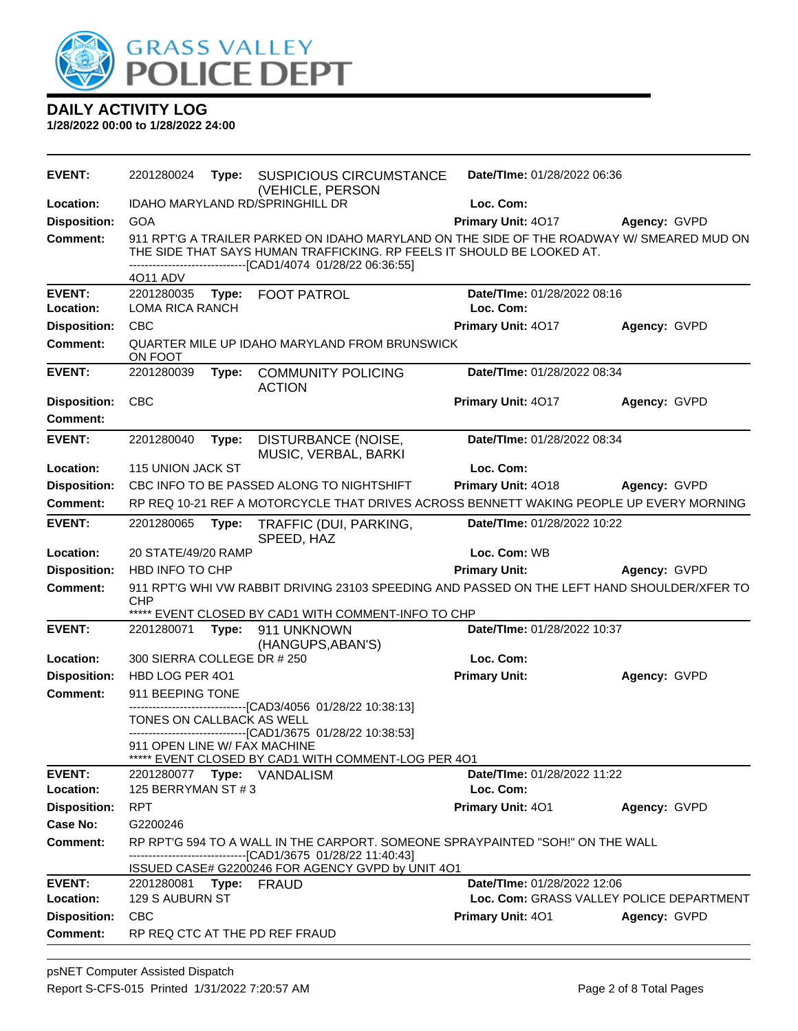

| <b>EVENT:</b>       | 2201280024                                                                              | Type: | <b>SUSPICIOUS CIRCUMSTANCE</b>                                                                                                                                                                                           | Date/TIme: 01/28/2022 06:36 |                                          |
|---------------------|-----------------------------------------------------------------------------------------|-------|--------------------------------------------------------------------------------------------------------------------------------------------------------------------------------------------------------------------------|-----------------------------|------------------------------------------|
| Location:           |                                                                                         |       | (VEHICLE, PERSON<br>IDAHO MARYLAND RD/SPRINGHILL DR                                                                                                                                                                      | Loc. Com:                   |                                          |
| <b>Disposition:</b> | <b>GOA</b>                                                                              |       |                                                                                                                                                                                                                          | Primary Unit: 4017          | Agency: GVPD                             |
| <b>Comment:</b>     |                                                                                         |       | 911 RPT'G A TRAILER PARKED ON IDAHO MARYLAND ON THE SIDE OF THE ROADWAY W/SMEARED MUD ON<br>THE SIDE THAT SAYS HUMAN TRAFFICKING. RP FEELS IT SHOULD BE LOOKED AT.<br>---------------------[CAD1/4074_01/28/22_06:36:55] |                             |                                          |
| <b>EVENT:</b>       | 4011 ADV<br>2201280035                                                                  |       | <b>FOOT PATROL</b>                                                                                                                                                                                                       | Date/TIme: 01/28/2022 08:16 |                                          |
| Location:           | LOMA RICA RANCH                                                                         | Type: |                                                                                                                                                                                                                          | Loc. Com:                   |                                          |
| <b>Disposition:</b> | <b>CBC</b>                                                                              |       |                                                                                                                                                                                                                          | Primary Unit: 4017          | Agency: GVPD                             |
| <b>Comment:</b>     | ON FOOT                                                                                 |       | QUARTER MILE UP IDAHO MARYLAND FROM BRUNSWICK                                                                                                                                                                            |                             |                                          |
| <b>EVENT:</b>       | 2201280039                                                                              | Type: | <b>COMMUNITY POLICING</b><br><b>ACTION</b>                                                                                                                                                                               | Date/TIme: 01/28/2022 08:34 |                                          |
| <b>Disposition:</b> | <b>CBC</b>                                                                              |       |                                                                                                                                                                                                                          | Primary Unit: 4017          | Agency: GVPD                             |
| <b>Comment:</b>     |                                                                                         |       |                                                                                                                                                                                                                          |                             |                                          |
| <b>EVENT:</b>       | 2201280040                                                                              | Type: | DISTURBANCE (NOISE,<br>MUSIC, VERBAL, BARKI                                                                                                                                                                              | Date/TIme: 01/28/2022 08:34 |                                          |
| Location:           | 115 UNION JACK ST                                                                       |       |                                                                                                                                                                                                                          | Loc. Com:                   |                                          |
| <b>Disposition:</b> |                                                                                         |       | CBC INFO TO BE PASSED ALONG TO NIGHTSHIFT                                                                                                                                                                                | Primary Unit: 4018          | Agency: GVPD                             |
| <b>Comment:</b>     | RP REQ 10-21 REF A MOTORCYCLE THAT DRIVES ACROSS BENNETT WAKING PEOPLE UP EVERY MORNING |       |                                                                                                                                                                                                                          |                             |                                          |
| <b>EVENT:</b>       | 2201280065                                                                              | Type: | TRAFFIC (DUI, PARKING,<br>SPEED, HAZ                                                                                                                                                                                     | Date/TIme: 01/28/2022 10:22 |                                          |
| Location:           | 20 STATE/49/20 RAMP                                                                     |       |                                                                                                                                                                                                                          | Loc. Com: WB                |                                          |
| <b>Disposition:</b> | HBD INFO TO CHP                                                                         |       |                                                                                                                                                                                                                          | <b>Primary Unit:</b>        | Agency: GVPD                             |
| <b>Comment:</b>     | <b>CHP</b>                                                                              |       | 911 RPT'G WHI VW RABBIT DRIVING 23103 SPEEDING AND PASSED ON THE LEFT HAND SHOULDER/XFER TO                                                                                                                              |                             |                                          |
| <b>EVENT:</b>       | 2201280071                                                                              | Type: | ***** EVENT CLOSED BY CAD1 WITH COMMENT-INFO TO CHP<br>911 UNKNOWN                                                                                                                                                       | Date/TIme: 01/28/2022 10:37 |                                          |
|                     |                                                                                         |       | (HANGUPS, ABAN'S)                                                                                                                                                                                                        |                             |                                          |
| Location:           | 300 SIERRA COLLEGE DR # 250                                                             |       |                                                                                                                                                                                                                          | Loc. Com:                   |                                          |
| <b>Disposition:</b> | HBD LOG PER 401                                                                         |       |                                                                                                                                                                                                                          | <b>Primary Unit:</b>        | Agency: GVPD                             |
| Comment:            | 911 BEEPING TONE                                                                        |       |                                                                                                                                                                                                                          |                             |                                          |
|                     | TONES ON CALLBACK AS WELL                                                               |       | ---------------------------[CAD3/4056 01/28/22 10:38:13]<br>-------------------------------[CAD1/3675 01/28/22 10:38:53]                                                                                                 |                             |                                          |
|                     | 911 OPEN LINE W/ FAX MACHINE                                                            |       | ***** EVENT CLOSED BY CAD1 WITH COMMENT-LOG PER 401                                                                                                                                                                      |                             |                                          |
| <b>EVENT:</b>       |                                                                                         |       | 2201280077 Type: VANDALISM                                                                                                                                                                                               | Date/TIme: 01/28/2022 11:22 |                                          |
| Location:           | 125 BERRYMAN ST #3                                                                      |       |                                                                                                                                                                                                                          | Loc. Com:                   |                                          |
| <b>Disposition:</b> | <b>RPT</b>                                                                              |       |                                                                                                                                                                                                                          | Primary Unit: 401           | Agency: GVPD                             |
| Case No:            | G2200246                                                                                |       |                                                                                                                                                                                                                          |                             |                                          |
| Comment:            |                                                                                         |       | RP RPT'G 594 TO A WALL IN THE CARPORT. SOMEONE SPRAYPAINTED "SOH!" ON THE WALL<br>--------------------------------[CAD1/3675 01/28/22 11:40:43]                                                                          |                             |                                          |
|                     |                                                                                         |       | ISSUED CASE# G2200246 FOR AGENCY GVPD by UNIT 4O1                                                                                                                                                                        |                             |                                          |
| <b>EVENT:</b>       | 2201280081 Type: FRAUD                                                                  |       |                                                                                                                                                                                                                          | Date/TIme: 01/28/2022 12:06 |                                          |
| Location:           | 129 S AUBURN ST                                                                         |       |                                                                                                                                                                                                                          |                             | Loc. Com: GRASS VALLEY POLICE DEPARTMENT |
| <b>Disposition:</b> | <b>CBC</b>                                                                              |       |                                                                                                                                                                                                                          | Primary Unit: 401           | Agency: GVPD                             |
| <b>Comment:</b>     |                                                                                         |       | RP REQ CTC AT THE PD REF FRAUD                                                                                                                                                                                           |                             |                                          |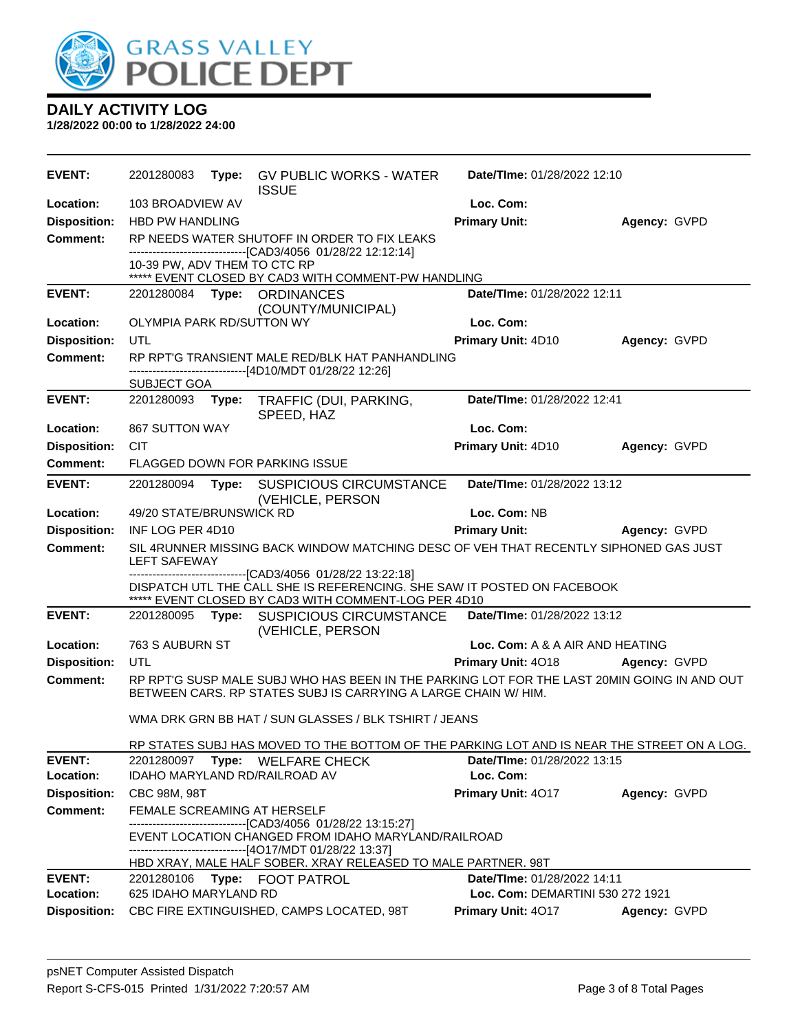

| <b>EVENT:</b>       | 2201280083                   |       | Type: GV PUBLIC WORKS - WATER<br><b>ISSUE</b>                                                                                                                                                   | Date/TIme: 01/28/2022 12:10      |              |
|---------------------|------------------------------|-------|-------------------------------------------------------------------------------------------------------------------------------------------------------------------------------------------------|----------------------------------|--------------|
| Location:           | 103 BROADVIEW AV             |       |                                                                                                                                                                                                 | Loc. Com:                        |              |
| <b>Disposition:</b> | <b>HBD PW HANDLING</b>       |       |                                                                                                                                                                                                 | <b>Primary Unit:</b>             | Agency: GVPD |
| <b>Comment:</b>     |                              |       | RP NEEDS WATER SHUTOFF IN ORDER TO FIX LEAKS                                                                                                                                                    |                                  |              |
|                     | 10-39 PW, ADV THEM TO CTC RP |       | ------------------------------[CAD3/4056_01/28/22 12:12:14]<br>***** EVENT CLOSED BY CAD3 WITH COMMENT-PW HANDLING                                                                              |                                  |              |
| <b>EVENT:</b>       | 2201280084                   |       | Type: ORDINANCES                                                                                                                                                                                | Date/TIme: 01/28/2022 12:11      |              |
|                     |                              |       | (COUNTY/MUNICIPAL)                                                                                                                                                                              |                                  |              |
| Location:           | OLYMPIA PARK RD/SUTTON WY    |       |                                                                                                                                                                                                 | Loc. Com:                        |              |
| <b>Disposition:</b> | UTL                          |       |                                                                                                                                                                                                 | Primary Unit: 4D10               | Agency: GVPD |
| <b>Comment:</b>     |                              |       | RP RPT'G TRANSIENT MALE RED/BLK HAT PANHANDLING<br>--------------------------[4D10/MDT 01/28/22 12:26]                                                                                          |                                  |              |
|                     | SUBJECT GOA                  |       |                                                                                                                                                                                                 |                                  |              |
| <b>EVENT:</b>       | 2201280093                   | Type: | TRAFFIC (DUI, PARKING,<br>SPEED, HAZ                                                                                                                                                            | Date/TIme: 01/28/2022 12:41      |              |
| Location:           | <b>867 SUTTON WAY</b>        |       |                                                                                                                                                                                                 | Loc. Com:                        |              |
| <b>Disposition:</b> | <b>CIT</b>                   |       |                                                                                                                                                                                                 | Primary Unit: 4D10               | Agency: GVPD |
| <b>Comment:</b>     |                              |       | FLAGGED DOWN FOR PARKING ISSUE                                                                                                                                                                  |                                  |              |
| <b>EVENT:</b>       | 2201280094                   | Type: | <b>SUSPICIOUS CIRCUMSTANCE</b><br>(VEHICLE, PERSON                                                                                                                                              | Date/TIme: 01/28/2022 13:12      |              |
| Location:           | 49/20 STATE/BRUNSWICK RD     |       |                                                                                                                                                                                                 | Loc. Com: NB                     |              |
| <b>Disposition:</b> | INF LOG PER 4D10             |       |                                                                                                                                                                                                 | <b>Primary Unit:</b>             | Agency: GVPD |
| <b>Comment:</b>     | <b>LEFT SAFEWAY</b>          |       | SIL 4RUNNER MISSING BACK WINDOW MATCHING DESC OF VEH THAT RECENTLY SIPHONED GAS JUST                                                                                                            |                                  |              |
|                     |                              |       | -------------------------------[CAD3/4056_01/28/22 13:22:18]<br>DISPATCH UTL THE CALL SHE IS REFERENCING. SHE SAW IT POSTED ON FACEBOOK<br>***** EVENT CLOSED BY CAD3 WITH COMMENT-LOG PER 4D10 |                                  |              |
| <b>EVENT:</b>       | 2201280095                   | Type: | <b>SUSPICIOUS CIRCUMSTANCE</b><br>(VEHICLE, PERSON                                                                                                                                              | Date/TIme: 01/28/2022 13:12      |              |
| Location:           | 763 S AUBURN ST              |       |                                                                                                                                                                                                 | Loc. Com: A & A AIR AND HEATING  |              |
| <b>Disposition:</b> | UTL                          |       |                                                                                                                                                                                                 | Primary Unit: 4018               | Agency: GVPD |
| <b>Comment:</b>     |                              |       | RP RPT'G SUSP MALE SUBJ WHO HAS BEEN IN THE PARKING LOT FOR THE LAST 20MIN GOING IN AND OUT<br>BETWEEN CARS. RP STATES SUBJ IS CARRYING A LARGE CHAIN W/ HIM.                                   |                                  |              |
|                     |                              |       | WMA DRK GRN BB HAT / SUN GLASSES / BLK TSHIRT / JEANS                                                                                                                                           |                                  |              |
|                     |                              |       | RP STATES SUBJ HAS MOVED TO THE BOTTOM OF THE PARKING LOT AND IS NEAR THE STREET ON A LOG.                                                                                                      |                                  |              |
| <b>EVENT:</b>       | 2201280097                   |       | Type: WELFARE CHECK                                                                                                                                                                             | Date/TIme: 01/28/2022 13:15      |              |
| Location:           |                              |       | IDAHO MARYLAND RD/RAILROAD AV                                                                                                                                                                   | Loc. Com:                        |              |
| <b>Disposition:</b> | CBC 98M, 98T                 |       |                                                                                                                                                                                                 | Primary Unit: 4017               | Agency: GVPD |
| <b>Comment:</b>     | FEMALE SCREAMING AT HERSELF  |       | ---------------------------------[CAD3/4056_01/28/22 13:15:27]                                                                                                                                  |                                  |              |
|                     |                              |       | EVENT LOCATION CHANGED FROM IDAHO MARYLAND/RAILROAD                                                                                                                                             |                                  |              |
|                     |                              |       | -------------------------------[4O17/MDT 01/28/22 13:37]<br>HBD XRAY, MALE HALF SOBER. XRAY RELEASED TO MALE PARTNER. 98T                                                                       |                                  |              |
| <b>EVENT:</b>       | 2201280106                   |       | Type: FOOT PATROL                                                                                                                                                                               | Date/TIme: 01/28/2022 14:11      |              |
| Location:           | 625 IDAHO MARYLAND RD        |       |                                                                                                                                                                                                 | Loc. Com: DEMARTINI 530 272 1921 |              |
| <b>Disposition:</b> |                              |       | CBC FIRE EXTINGUISHED, CAMPS LOCATED, 98T                                                                                                                                                       | Primary Unit: 4017               | Agency: GVPD |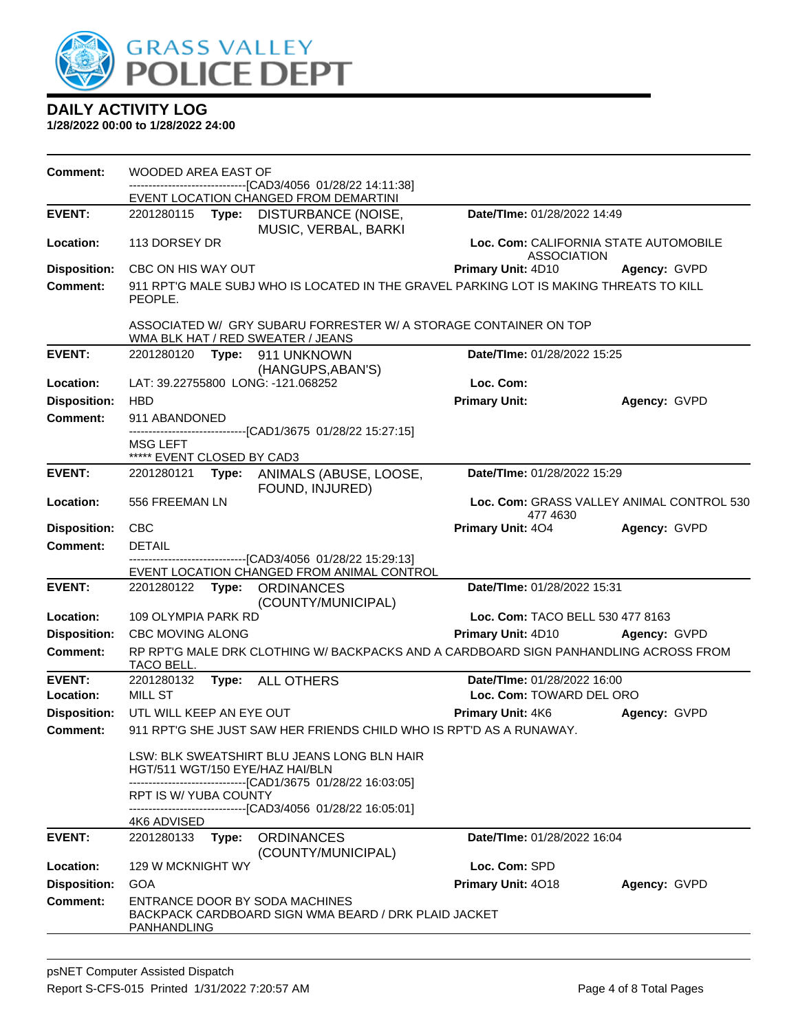

| <b>Comment:</b>     | WOODED AREA EAST OF          |       |                                                                                                                        |                                                             |                                           |
|---------------------|------------------------------|-------|------------------------------------------------------------------------------------------------------------------------|-------------------------------------------------------------|-------------------------------------------|
|                     |                              |       | -----------------------[CAD3/4056_01/28/22 14:11:38]<br>EVENT LOCATION CHANGED FROM DEMARTINI                          |                                                             |                                           |
| <b>EVENT:</b>       | 2201280115                   |       | Type: DISTURBANCE (NOISE,<br>MUSIC, VERBAL, BARKI                                                                      | Date/TIme: 01/28/2022 14:49                                 |                                           |
| Location:           | 113 DORSEY DR                |       |                                                                                                                        | Loc. Com: CALIFORNIA STATE AUTOMOBILE<br><b>ASSOCIATION</b> |                                           |
| <b>Disposition:</b> | CBC ON HIS WAY OUT           |       |                                                                                                                        | Primary Unit: 4D10                                          | Agency: GVPD                              |
| <b>Comment:</b>     | PEOPLE.                      |       | 911 RPT'G MALE SUBJ WHO IS LOCATED IN THE GRAVEL PARKING LOT IS MAKING THREATS TO KILL                                 |                                                             |                                           |
|                     |                              |       | ASSOCIATED W/ GRY SUBARU FORRESTER W/ A STORAGE CONTAINER ON TOP<br>WMA BLK HAT / RED SWEATER / JEANS                  |                                                             |                                           |
| <b>EVENT:</b>       | 2201280120                   | Type: | 911 UNKNOWN<br>(HANGUPS, ABAN'S)                                                                                       | Date/TIme: 01/28/2022 15:25                                 |                                           |
| Location:           |                              |       | LAT: 39.22755800 LONG: -121.068252                                                                                     | Loc. Com:                                                   |                                           |
| <b>Disposition:</b> | <b>HBD</b>                   |       |                                                                                                                        | <b>Primary Unit:</b>                                        | Agency: GVPD                              |
| <b>Comment:</b>     | 911 ABANDONED                |       |                                                                                                                        |                                                             |                                           |
|                     | MSG LEFT                     |       | ---------------------[CAD1/3675_01/28/22_15:27:15]                                                                     |                                                             |                                           |
|                     | ***** EVENT CLOSED BY CAD3   |       |                                                                                                                        |                                                             |                                           |
| <b>EVENT:</b>       | 2201280121                   | Type: | ANIMALS (ABUSE, LOOSE,                                                                                                 | Date/TIme: 01/28/2022 15:29                                 |                                           |
| Location:           | 556 FREEMAN LN               |       | FOUND, INJURED)                                                                                                        | 477 4630                                                    | Loc. Com: GRASS VALLEY ANIMAL CONTROL 530 |
| <b>Disposition:</b> | <b>CBC</b>                   |       |                                                                                                                        | Primary Unit: 404                                           | Agency: GVPD                              |
| <b>Comment:</b>     | <b>DETAIL</b>                |       |                                                                                                                        |                                                             |                                           |
|                     |                              |       | ----------------[CAD3/4056_01/28/22 15:29:13]<br>EVENT LOCATION CHANGED FROM ANIMAL CONTROL                            |                                                             |                                           |
| <b>EVENT:</b>       |                              |       | 2201280122 Type: ORDINANCES                                                                                            | Date/TIme: 01/28/2022 15:31                                 |                                           |
| Location:           | 109 OLYMPIA PARK RD          |       | (COUNTY/MUNICIPAL)                                                                                                     | Loc. Com: TACO BELL 530 477 8163                            |                                           |
| <b>Disposition:</b> | <b>CBC MOVING ALONG</b>      |       |                                                                                                                        | Primary Unit: 4D10                                          | Agency: GVPD                              |
| Comment:            | TACO BELL.                   |       | RP RPTG MALE DRK CLOTHING W/ BACKPACKS AND A CARDBOARD SIGN PANHANDLING ACROSS FROM                                    |                                                             |                                           |
| <b>EVENT:</b>       | 2201280132                   |       | Type: ALL OTHERS                                                                                                       | Date/TIme: 01/28/2022 16:00                                 |                                           |
| Location:           | <b>MILL ST</b>               |       |                                                                                                                        | Loc. Com: TOWARD DEL ORO                                    |                                           |
| <b>Disposition:</b> | UTL WILL KEEP AN EYE OUT     |       |                                                                                                                        | <b>Primary Unit: 4K6</b>                                    | Agency: GVPD                              |
| Comment:            |                              |       | 911 RPT'G SHE JUST SAW HER FRIENDS CHILD WHO IS RPT'D AS A RUNAWAY.                                                    |                                                             |                                           |
|                     |                              |       | LSW: BLK SWEATSHIRT BLU JEANS LONG BLN HAIR<br>HGT/511 WGT/150 EYE/HAZ HAI/BLN                                         |                                                             |                                           |
|                     | <b>RPT IS W/ YUBA COUNTY</b> |       | ------------------------[CAD1/3675_01/28/22 16:03:05]<br>--------------------------------[CAD3/4056 01/28/22 16:05:01] |                                                             |                                           |
|                     | 4K6 ADVISED                  |       |                                                                                                                        |                                                             |                                           |
| <b>EVENT:</b>       | 2201280133                   | Type: | <b>ORDINANCES</b><br>(COUNTY/MUNICIPAL)                                                                                | Date/TIme: 01/28/2022 16:04                                 |                                           |
| Location:           | 129 W MCKNIGHT WY            |       |                                                                                                                        | Loc. Com: SPD                                               |                                           |
| <b>Disposition:</b> | GOA                          |       |                                                                                                                        | Primary Unit: 4018                                          | Agency: GVPD                              |
| <b>Comment:</b>     | PANHANDLING                  |       | ENTRANCE DOOR BY SODA MACHINES<br>BACKPACK CARDBOARD SIGN WMA BEARD / DRK PLAID JACKET                                 |                                                             |                                           |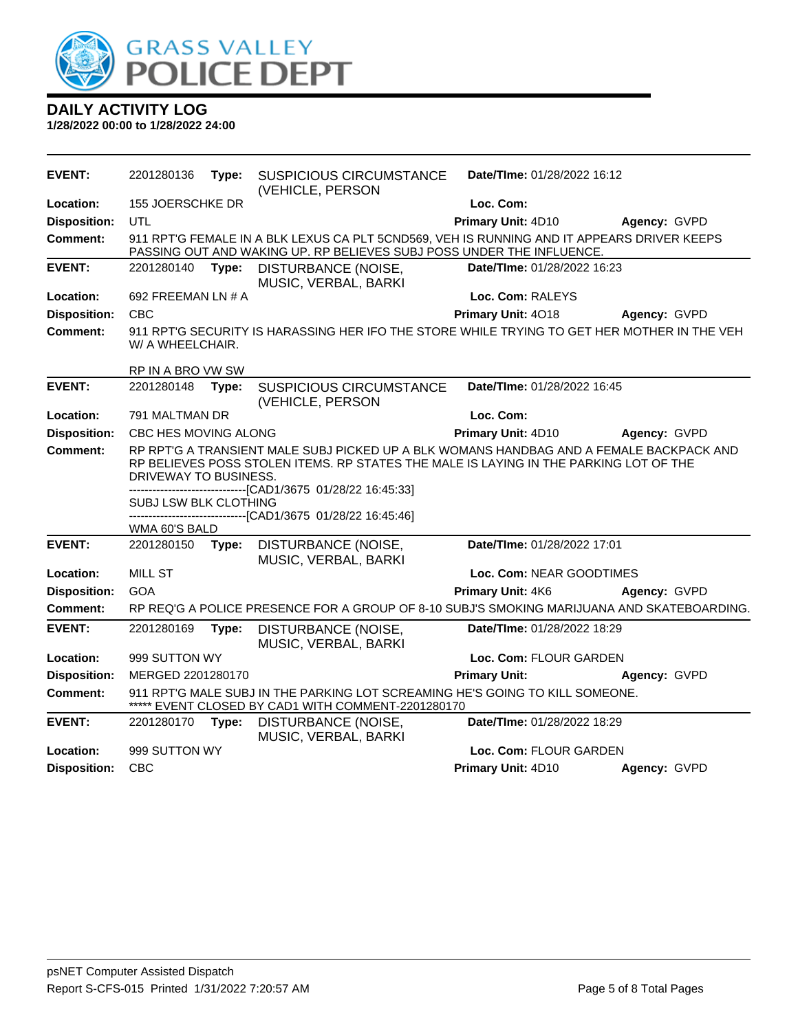

| <b>EVENT:</b>       | 2201280136                                     | Type: | <b>SUSPICIOUS CIRCUMSTANCE</b><br>(VEHICLE, PERSON                                                                                                                                                                                                                                            | Date/TIme: 01/28/2022 16:12 |              |
|---------------------|------------------------------------------------|-------|-----------------------------------------------------------------------------------------------------------------------------------------------------------------------------------------------------------------------------------------------------------------------------------------------|-----------------------------|--------------|
| Location:           | 155 JOERSCHKE DR                               |       |                                                                                                                                                                                                                                                                                               | Loc. Com:                   |              |
| <b>Disposition:</b> | UTL                                            |       |                                                                                                                                                                                                                                                                                               | Primary Unit: 4D10          | Agency: GVPD |
| <b>Comment:</b>     |                                                |       | 911 RPT'G FEMALE IN A BLK LEXUS CA PLT 5CND569, VEH IS RUNNING AND IT APPEARS DRIVER KEEPS<br>PASSING OUT AND WAKING UP. RP BELIEVES SUBJ POSS UNDER THE INFLUENCE.                                                                                                                           |                             |              |
| <b>EVENT:</b>       | 2201280140                                     | Type: | DISTURBANCE (NOISE,<br>MUSIC, VERBAL, BARKI                                                                                                                                                                                                                                                   | Date/TIme: 01/28/2022 16:23 |              |
| Location:           | 692 FREEMAN LN # A                             |       |                                                                                                                                                                                                                                                                                               | Loc. Com: RALEYS            |              |
| <b>Disposition:</b> | <b>CBC</b>                                     |       |                                                                                                                                                                                                                                                                                               | Primary Unit: 4018          | Agency: GVPD |
| <b>Comment:</b>     | W/ A WHEELCHAIR.                               |       | 911 RPT'G SECURITY IS HARASSING HER IFO THE STORE WHILE TRYING TO GET HER MOTHER IN THE VEH                                                                                                                                                                                                   |                             |              |
|                     | RP IN A BRO VW SW                              |       |                                                                                                                                                                                                                                                                                               |                             |              |
| <b>EVENT:</b>       | 2201280148                                     | Type: | <b>SUSPICIOUS CIRCUMSTANCE</b><br>(VEHICLE, PERSON                                                                                                                                                                                                                                            | Date/TIme: 01/28/2022 16:45 |              |
| Location:           | 791 MALTMAN DR                                 |       |                                                                                                                                                                                                                                                                                               | Loc. Com:                   |              |
| <b>Disposition:</b> | CBC HES MOVING ALONG                           |       |                                                                                                                                                                                                                                                                                               | Primary Unit: 4D10          | Agency: GVPD |
| <b>Comment:</b>     | DRIVEWAY TO BUSINESS.<br>SUBJ LSW BLK CLOTHING |       | RP RPT'G A TRANSIENT MALE SUBJ PICKED UP A BLK WOMANS HANDBAG AND A FEMALE BACKPACK AND<br>RP BELIEVES POSS STOLEN ITEMS. RP STATES THE MALE IS LAYING IN THE PARKING LOT OF THE<br>-------------------------------[CAD1/3675_01/28/22 16:45:33]<br>------------[CAD1/3675 01/28/22 16:45:46] |                             |              |
| <b>EVENT:</b>       | WMA 60'S BALD                                  |       |                                                                                                                                                                                                                                                                                               | Date/TIme: 01/28/2022 17:01 |              |
|                     | 2201280150                                     | Type: | DISTURBANCE (NOISE,<br>MUSIC, VERBAL, BARKI                                                                                                                                                                                                                                                   |                             |              |
| Location:           | <b>MILL ST</b>                                 |       |                                                                                                                                                                                                                                                                                               | Loc. Com: NEAR GOODTIMES    |              |
| <b>Disposition:</b> | <b>GOA</b>                                     |       |                                                                                                                                                                                                                                                                                               | <b>Primary Unit: 4K6</b>    | Agency: GVPD |
| <b>Comment:</b>     |                                                |       | RP REQ'G A POLICE PRESENCE FOR A GROUP OF 8-10 SUBJ'S SMOKING MARIJUANA AND SKATEBOARDING.                                                                                                                                                                                                    |                             |              |
| <b>EVENT:</b>       | 2201280169                                     | Type: | DISTURBANCE (NOISE,<br>MUSIC, VERBAL, BARKI                                                                                                                                                                                                                                                   | Date/TIme: 01/28/2022 18:29 |              |
| Location:           | 999 SUTTON WY                                  |       |                                                                                                                                                                                                                                                                                               | Loc. Com: FLOUR GARDEN      |              |
| <b>Disposition:</b> | MERGED 2201280170                              |       |                                                                                                                                                                                                                                                                                               | <b>Primary Unit:</b>        | Agency: GVPD |
| <b>Comment:</b>     |                                                |       | 911 RPT'G MALE SUBJ IN THE PARKING LOT SCREAMING HE'S GOING TO KILL SOMEONE.<br>***** EVENT CLOSED BY CAD1 WITH COMMENT-2201280170                                                                                                                                                            |                             |              |
| <b>EVENT:</b>       | 2201280170                                     | Type: | DISTURBANCE (NOISE,<br>MUSIC, VERBAL, BARKI                                                                                                                                                                                                                                                   | Date/TIme: 01/28/2022 18:29 |              |
| Location:           | 999 SUTTON WY                                  |       |                                                                                                                                                                                                                                                                                               | Loc. Com: FLOUR GARDEN      |              |
| <b>Disposition:</b> | <b>CBC</b>                                     |       |                                                                                                                                                                                                                                                                                               | <b>Primary Unit: 4D10</b>   | Agency: GVPD |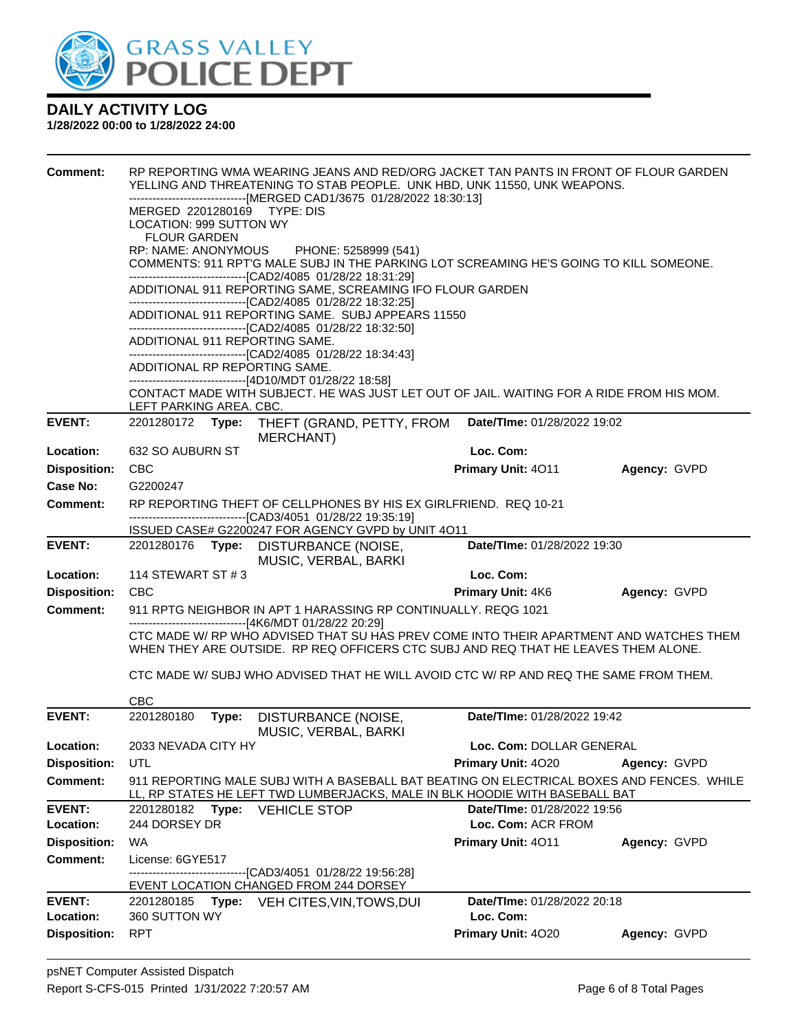

| <b>Comment:</b>     | RP REPORTING WMA WEARING JEANS AND RED/ORG JACKET TAN PANTS IN FRONT OF FLOUR GARDEN<br>YELLING AND THREATENING TO STAB PEOPLE. UNK HBD, UNK 11550, UNK WEAPONS.                   |       |                                                                                                                                                                                                                                         |                             |              |  |  |
|---------------------|------------------------------------------------------------------------------------------------------------------------------------------------------------------------------------|-------|-----------------------------------------------------------------------------------------------------------------------------------------------------------------------------------------------------------------------------------------|-----------------------------|--------------|--|--|
|                     |                                                                                                                                                                                    |       | -------------------------------[MERGED CAD1/3675 01/28/2022 18:30:13]                                                                                                                                                                   |                             |              |  |  |
|                     | MERGED 2201280169 TYPE: DIS<br>LOCATION: 999 SUTTON WY                                                                                                                             |       |                                                                                                                                                                                                                                         |                             |              |  |  |
|                     | <b>FLOUR GARDEN</b>                                                                                                                                                                |       |                                                                                                                                                                                                                                         |                             |              |  |  |
|                     |                                                                                                                                                                                    |       | RP: NAME: ANONYMOUS PHONE: 5258999 (541)                                                                                                                                                                                                |                             |              |  |  |
|                     |                                                                                                                                                                                    |       | COMMENTS: 911 RPT'G MALE SUBJ IN THE PARKING LOT SCREAMING HE'S GOING TO KILL SOMEONE.<br>--------------------------------[CAD2/4085 01/28/22 18:31:29]                                                                                 |                             |              |  |  |
|                     |                                                                                                                                                                                    |       | ADDITIONAL 911 REPORTING SAME, SCREAMING IFO FLOUR GARDEN                                                                                                                                                                               |                             |              |  |  |
|                     | --------------------------------[CAD2/4085 01/28/22 18:32:25]<br>ADDITIONAL 911 REPORTING SAME. SUBJ APPEARS 11550<br>-------------------------------[CAD2/4085 01/28/22 18:32:50] |       |                                                                                                                                                                                                                                         |                             |              |  |  |
|                     |                                                                                                                                                                                    |       |                                                                                                                                                                                                                                         |                             |              |  |  |
|                     |                                                                                                                                                                                    |       | ADDITIONAL 911 REPORTING SAME.                                                                                                                                                                                                          |                             |              |  |  |
|                     |                                                                                                                                                                                    |       | ADDITIONAL RP REPORTING SAME.                                                                                                                                                                                                           |                             |              |  |  |
|                     |                                                                                                                                                                                    |       | --------------------------------[4D10/MDT 01/28/22 18:58]<br>CONTACT MADE WITH SUBJECT. HE WAS JUST LET OUT OF JAIL. WAITING FOR A RIDE FROM HIS MOM.                                                                                   |                             |              |  |  |
|                     | LEFT PARKING AREA. CBC.                                                                                                                                                            |       |                                                                                                                                                                                                                                         |                             |              |  |  |
| <b>EVENT:</b>       |                                                                                                                                                                                    |       | 2201280172 Type: THEFT (GRAND, PETTY, FROM<br><b>MERCHANT</b> )                                                                                                                                                                         | Date/TIme: 01/28/2022 19:02 |              |  |  |
| Location:           | 632 SO AUBURN ST                                                                                                                                                                   |       |                                                                                                                                                                                                                                         | Loc. Com:                   |              |  |  |
| <b>Disposition:</b> | <b>CBC</b>                                                                                                                                                                         |       |                                                                                                                                                                                                                                         | Primary Unit: 4011          | Agency: GVPD |  |  |
| Case No:            | G2200247                                                                                                                                                                           |       |                                                                                                                                                                                                                                         |                             |              |  |  |
| <b>Comment:</b>     |                                                                                                                                                                                    |       | RP REPORTING THEFT OF CELLPHONES BY HIS EX GIRLFRIEND. REQ 10-21<br>-------------------------------[CAD3/4051_01/28/22 19:35:19]                                                                                                        |                             |              |  |  |
| <b>EVENT:</b>       |                                                                                                                                                                                    |       | ISSUED CASE# G2200247 FOR AGENCY GVPD by UNIT 4O11<br>2201280176 Type: DISTURBANCE (NOISE,                                                                                                                                              | Date/TIme: 01/28/2022 19:30 |              |  |  |
|                     |                                                                                                                                                                                    |       | MUSIC, VERBAL, BARKI                                                                                                                                                                                                                    |                             |              |  |  |
| Location:           | 114 STEWART ST # 3                                                                                                                                                                 |       |                                                                                                                                                                                                                                         | Loc. Com:                   |              |  |  |
| <b>Disposition:</b> | <b>CBC</b>                                                                                                                                                                         |       |                                                                                                                                                                                                                                         | <b>Primary Unit: 4K6</b>    | Agency: GVPD |  |  |
| <b>Comment:</b>     |                                                                                                                                                                                    |       | 911 RPTG NEIGHBOR IN APT 1 HARASSING RP CONTINUALLY. REQG 1021                                                                                                                                                                          |                             |              |  |  |
|                     |                                                                                                                                                                                    |       | -------------------------------[4K6/MDT 01/28/22 20:29]<br>CTC MADE W/ RP WHO ADVISED THAT SU HAS PREV COME INTO THEIR APARTMENT AND WATCHES THEM<br>WHEN THEY ARE OUTSIDE. RP REQ OFFICERS CTC SUBJ AND REQ THAT HE LEAVES THEM ALONE. |                             |              |  |  |
|                     |                                                                                                                                                                                    |       | CTC MADE W/SUBJ WHO ADVISED THAT HE WILL AVOID CTC W/RP AND REQ THE SAME FROM THEM.                                                                                                                                                     |                             |              |  |  |
|                     | <b>CBC</b>                                                                                                                                                                         |       |                                                                                                                                                                                                                                         |                             |              |  |  |
| <b>EVENT:</b>       | 2201280180                                                                                                                                                                         |       | Type: DISTURBANCE (NOISE,<br>MUSIC, VERBAL, BARKI                                                                                                                                                                                       | Date/TIme: 01/28/2022 19:42 |              |  |  |
| Location:           | 2033 NEVADA CITY HY                                                                                                                                                                |       |                                                                                                                                                                                                                                         | Loc. Com: DOLLAR GENERAL    |              |  |  |
| <b>Disposition:</b> | UTL                                                                                                                                                                                |       |                                                                                                                                                                                                                                         | Primary Unit: 4020          | Agency: GVPD |  |  |
| <b>Comment:</b>     |                                                                                                                                                                                    |       | 911 REPORTING MALE SUBJ WITH A BASEBALL BAT BEATING ON ELECTRICAL BOXES AND FENCES. WHILE<br>LL, RP STATES HE LEFT TWD LUMBERJACKS, MALE IN BLK HOODIE WITH BASEBALL BAT                                                                |                             |              |  |  |
| <b>EVENT:</b>       | 2201280182                                                                                                                                                                         |       | Type: VEHICLE STOP                                                                                                                                                                                                                      | Date/TIme: 01/28/2022 19:56 |              |  |  |
| Location:           | 244 DORSEY DR                                                                                                                                                                      |       |                                                                                                                                                                                                                                         | Loc. Com: ACR FROM          |              |  |  |
| <b>Disposition:</b> | WA                                                                                                                                                                                 |       |                                                                                                                                                                                                                                         | Primary Unit: 4011          | Agency: GVPD |  |  |
| <b>Comment:</b>     | License: 6GYE517                                                                                                                                                                   |       | -------------------------------[CAD3/4051_01/28/22 19:56:28]                                                                                                                                                                            |                             |              |  |  |
|                     |                                                                                                                                                                                    |       | EVENT LOCATION CHANGED FROM 244 DORSEY                                                                                                                                                                                                  |                             |              |  |  |
| <b>EVENT:</b>       | 2201280185                                                                                                                                                                         | Type: | VEH CITES, VIN, TOWS, DUI                                                                                                                                                                                                               | Date/TIme: 01/28/2022 20:18 |              |  |  |
| Location:           | 360 SUTTON WY                                                                                                                                                                      |       |                                                                                                                                                                                                                                         | Loc. Com:                   |              |  |  |
| <b>Disposition:</b> | <b>RPT</b>                                                                                                                                                                         |       |                                                                                                                                                                                                                                         | Primary Unit: 4020          | Agency: GVPD |  |  |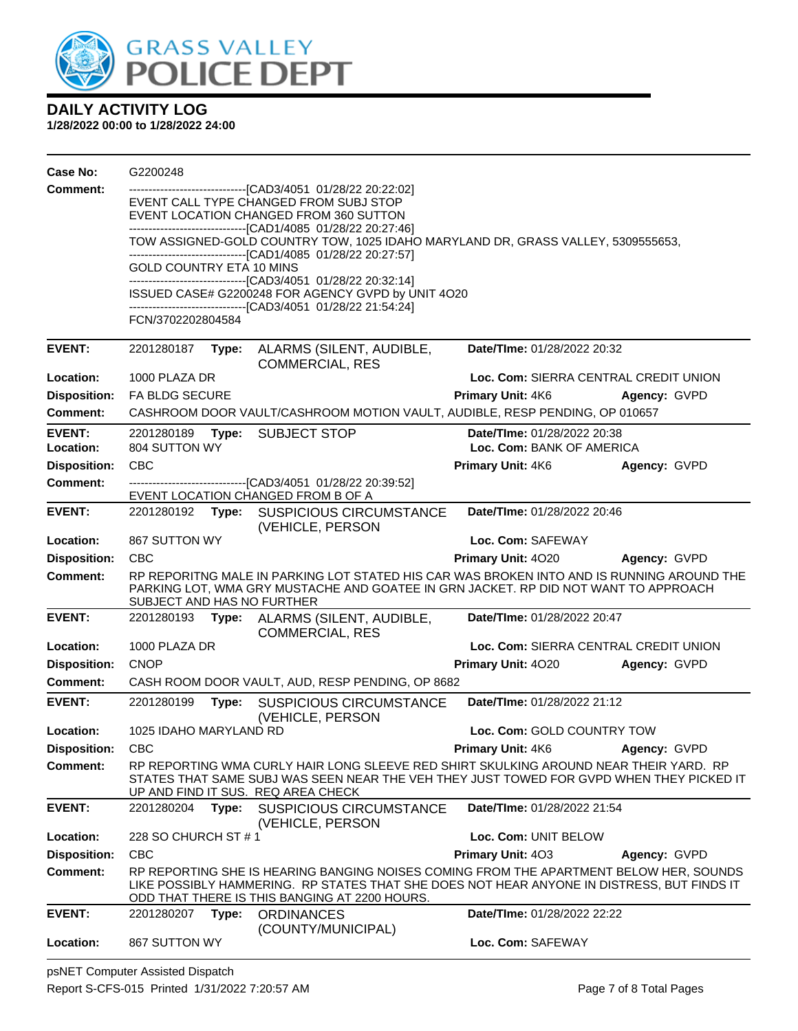

#### **1/28/2022 00:00 to 1/28/2022 24:00**

| Case No:                   | G2200248                                                                                                                                                                                                                                      |       |                                                                                                                                                                                                                                       |                                                          |              |  |  |
|----------------------------|-----------------------------------------------------------------------------------------------------------------------------------------------------------------------------------------------------------------------------------------------|-------|---------------------------------------------------------------------------------------------------------------------------------------------------------------------------------------------------------------------------------------|----------------------------------------------------------|--------------|--|--|
| <b>Comment:</b>            | -------------------------------[CAD3/4051_01/28/22 20:22:02]<br>EVENT CALL TYPE CHANGED FROM SUBJ STOP<br>EVENT LOCATION CHANGED FROM 360 SUTTON                                                                                              |       |                                                                                                                                                                                                                                       |                                                          |              |  |  |
|                            | -------------------------------[CAD1/4085 01/28/22 20:27:46]<br>TOW ASSIGNED-GOLD COUNTRY TOW, 1025 IDAHO MARYLAND DR, GRASS VALLEY, 5309555653,<br>--------------------------------[CAD1/4085 01/28/22 20:27:57]<br>GOLD COUNTRY ETA 10 MINS |       |                                                                                                                                                                                                                                       |                                                          |              |  |  |
|                            |                                                                                                                                                                                                                                               |       |                                                                                                                                                                                                                                       |                                                          |              |  |  |
|                            | -------------------------------[CAD3/4051_01/28/22 20:32:14]<br>ISSUED CASE# G2200248 FOR AGENCY GVPD by UNIT 4O20<br>-------------------------------[CAD3/4051_01/28/22 21:54:24]                                                            |       |                                                                                                                                                                                                                                       |                                                          |              |  |  |
|                            | FCN/3702202804584                                                                                                                                                                                                                             |       |                                                                                                                                                                                                                                       |                                                          |              |  |  |
| <b>EVENT:</b>              | 2201280187                                                                                                                                                                                                                                    |       | Type: ALARMS (SILENT, AUDIBLE,<br><b>COMMERCIAL, RES</b>                                                                                                                                                                              | <b>Date/TIme: 01/28/2022 20:32</b>                       |              |  |  |
| Location:                  | 1000 PLAZA DR                                                                                                                                                                                                                                 |       |                                                                                                                                                                                                                                       | Loc. Com: SIERRA CENTRAL CREDIT UNION                    |              |  |  |
| <b>Disposition:</b>        | <b>FA BLDG SECURE</b>                                                                                                                                                                                                                         |       |                                                                                                                                                                                                                                       | <b>Primary Unit: 4K6</b>                                 | Agency: GVPD |  |  |
| <b>Comment:</b>            |                                                                                                                                                                                                                                               |       | CASHROOM DOOR VAULT/CASHROOM MOTION VAULT, AUDIBLE, RESP PENDING, OP 010657                                                                                                                                                           |                                                          |              |  |  |
| <b>EVENT:</b><br>Location: | 804 SUTTON WY                                                                                                                                                                                                                                 |       | 2201280189 Type: SUBJECT STOP                                                                                                                                                                                                         | Date/TIme: 01/28/2022 20:38<br>Loc. Com: BANK OF AMERICA |              |  |  |
| <b>Disposition:</b>        | <b>CBC</b>                                                                                                                                                                                                                                    |       |                                                                                                                                                                                                                                       | Primary Unit: 4K6                                        | Agency: GVPD |  |  |
| <b>Comment:</b>            |                                                                                                                                                                                                                                               |       | ---------------------------------[CAD3/4051_01/28/22_20:39:52]<br>EVENT LOCATION CHANGED FROM B OF A                                                                                                                                  |                                                          |              |  |  |
| <b>EVENT:</b>              |                                                                                                                                                                                                                                               |       | 2201280192 Type: SUSPICIOUS CIRCUMSTANCE<br>(VEHICLE, PERSON                                                                                                                                                                          | Date/TIme: 01/28/2022 20:46                              |              |  |  |
| Location:                  | 867 SUTTON WY                                                                                                                                                                                                                                 |       |                                                                                                                                                                                                                                       | Loc. Com: SAFEWAY                                        |              |  |  |
| <b>Disposition:</b>        | <b>CBC</b>                                                                                                                                                                                                                                    |       |                                                                                                                                                                                                                                       | Primary Unit: 4020                                       | Agency: GVPD |  |  |
| <b>Comment:</b>            | SUBJECT AND HAS NO FURTHER                                                                                                                                                                                                                    |       | RP REPORITNG MALE IN PARKING LOT STATED HIS CAR WAS BROKEN INTO AND IS RUNNING AROUND THE<br>PARKING LOT, WMA GRY MUSTACHE AND GOATEE IN GRN JACKET. RP DID NOT WANT TO APPROACH                                                      |                                                          |              |  |  |
| <b>EVENT:</b>              | 2201280193                                                                                                                                                                                                                                    |       | Type: ALARMS (SILENT, AUDIBLE,<br><b>COMMERCIAL, RES</b>                                                                                                                                                                              | Date/TIme: 01/28/2022 20:47                              |              |  |  |
| Location:                  | 1000 PLAZA DR                                                                                                                                                                                                                                 |       |                                                                                                                                                                                                                                       | Loc. Com: SIERRA CENTRAL CREDIT UNION                    |              |  |  |
| <b>Disposition:</b>        | <b>CNOP</b>                                                                                                                                                                                                                                   |       |                                                                                                                                                                                                                                       | Primary Unit: 4020                                       | Agency: GVPD |  |  |
| <b>Comment:</b>            |                                                                                                                                                                                                                                               |       | CASH ROOM DOOR VAULT, AUD, RESP PENDING, OP 8682                                                                                                                                                                                      |                                                          |              |  |  |
| <b>EVENT:</b>              | 2201280199                                                                                                                                                                                                                                    | Type: | <b>SUSPICIOUS CIRCUMSTANCE</b><br>(VEHICLE, PERSON                                                                                                                                                                                    | Date/TIme: 01/28/2022 21:12                              |              |  |  |
| Location:                  | 1025 IDAHO MARYLAND RD                                                                                                                                                                                                                        |       |                                                                                                                                                                                                                                       | Loc. Com: GOLD COUNTRY TOW                               |              |  |  |
| <b>Disposition:</b>        | CBC                                                                                                                                                                                                                                           |       |                                                                                                                                                                                                                                       | <b>Primary Unit: 4K6</b>                                 | Agency: GVPD |  |  |
| Comment:                   |                                                                                                                                                                                                                                               |       | RP REPORTING WMA CURLY HAIR LONG SLEEVE RED SHIRT SKULKING AROUND NEAR THEIR YARD. RP<br>STATES THAT SAME SUBJ WAS SEEN NEAR THE VEH THEY JUST TOWED FOR GVPD WHEN THEY PICKED IT<br>UP AND FIND IT SUS. REQ AREA CHECK               |                                                          |              |  |  |
| <b>EVENT:</b>              | 2201280204                                                                                                                                                                                                                                    | Type: | <b>SUSPICIOUS CIRCUMSTANCE</b><br>(VEHICLE, PERSON                                                                                                                                                                                    | Date/TIme: 01/28/2022 21:54                              |              |  |  |
| Location:                  | 228 SO CHURCH ST # 1                                                                                                                                                                                                                          |       |                                                                                                                                                                                                                                       | Loc. Com: UNIT BELOW                                     |              |  |  |
| <b>Disposition:</b>        | <b>CBC</b>                                                                                                                                                                                                                                    |       |                                                                                                                                                                                                                                       | Primary Unit: 403                                        | Agency: GVPD |  |  |
| <b>Comment:</b>            |                                                                                                                                                                                                                                               |       | RP REPORTING SHE IS HEARING BANGING NOISES COMING FROM THE APARTMENT BELOW HER, SOUNDS<br>LIKE POSSIBLY HAMMERING. RP STATES THAT SHE DOES NOT HEAR ANYONE IN DISTRESS, BUT FINDS IT<br>ODD THAT THERE IS THIS BANGING AT 2200 HOURS. |                                                          |              |  |  |
| <b>EVENT:</b>              | 2201280207                                                                                                                                                                                                                                    | Type: | <b>ORDINANCES</b><br>(COUNTY/MUNICIPAL)                                                                                                                                                                                               | Date/TIme: 01/28/2022 22:22                              |              |  |  |
| Location:                  | 867 SUTTON WY                                                                                                                                                                                                                                 |       |                                                                                                                                                                                                                                       | Loc. Com: SAFEWAY                                        |              |  |  |

psNET Computer Assisted Dispatch Report S-CFS-015 Printed 1/31/2022 7:20:57 AM Page 7 of 8 Total Pages